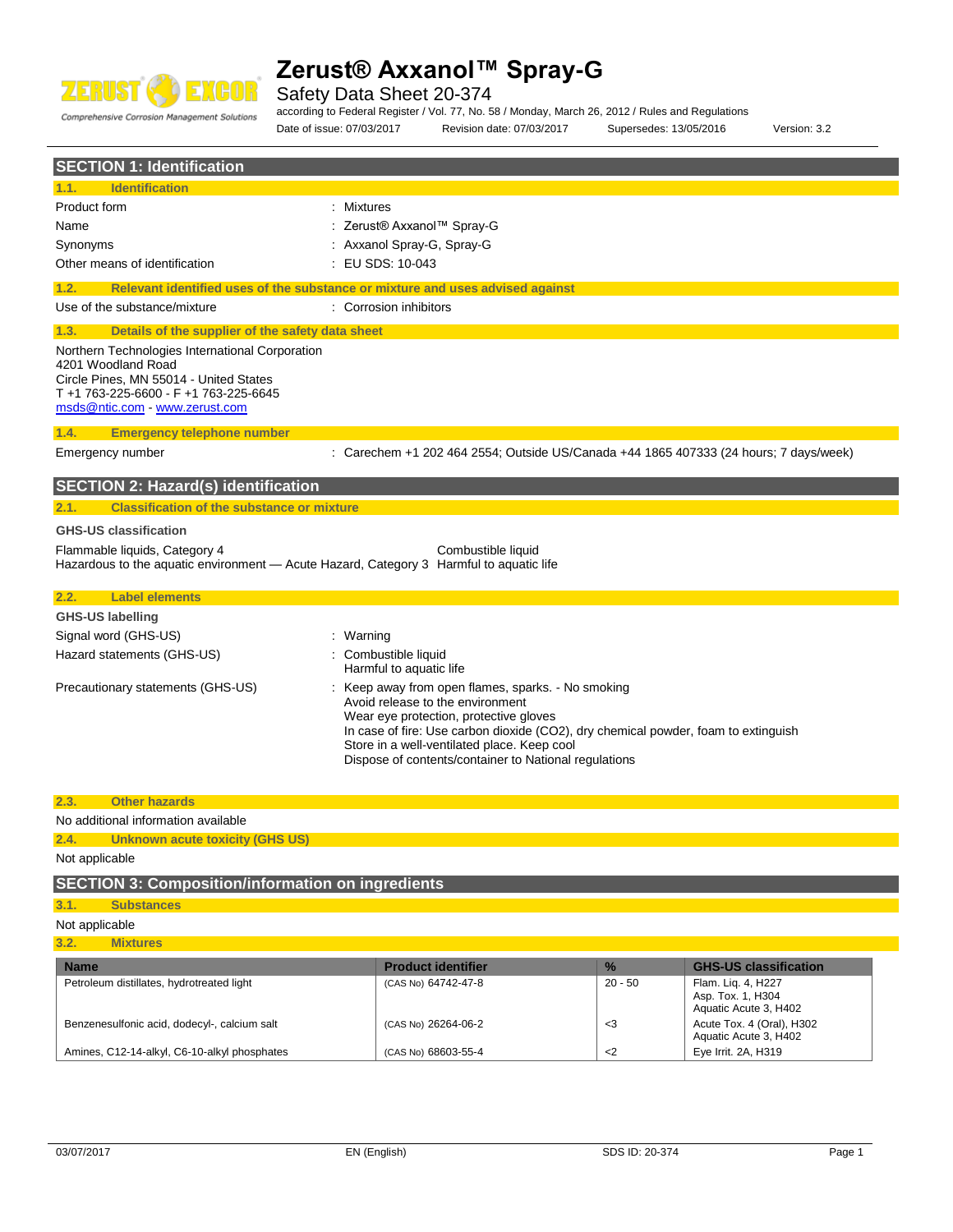

Safety Data Sheet 20-374

Comprehensive Corrosion Management Solutions

Product form : Nixtures

Name : Zerust® Axxanol™ Spray-G

**SECTION 1: Identification**

**1.1. Identification**

according to Federal Register / Vol. 77, No. 58 / Monday, March 26, 2012 / Rules and Regulations

Date of issue: 07/03/2017 Revision date: 07/03/2017 Supersedes: 13/05/2016 Version: 3.2

| Synonyms |                                                                                                                                                                                          | : Axxanol Spray-G, Spray-G                                                    |
|----------|------------------------------------------------------------------------------------------------------------------------------------------------------------------------------------------|-------------------------------------------------------------------------------|
|          | Other means of identification                                                                                                                                                            | $\pm$ EU SDS: 10-043                                                          |
| 1.2.     |                                                                                                                                                                                          | Relevant identified uses of the substance or mixture and uses advised against |
|          | Use of the substance/mixture                                                                                                                                                             | : Corrosion inhibitors                                                        |
| 1.3.     | Details of the supplier of the safety data sheet                                                                                                                                         |                                                                               |
|          | Northern Technologies International Corporation<br>4201 Woodland Road<br>Circle Pines, MN 55014 - United States<br>T +1 763-225-6600 - F +1 763-225-6645<br>msds@ntic.com www.zerust.com |                                                                               |
| 1.4.     | <b>Emergency telephone number</b>                                                                                                                                                        |                                                                               |

Emergency number : Carechem +1 202 464 2554; Outside US/Canada +44 1865 407333 (24 hours; 7 days/week)

### **SECTION 2: Hazard(s) identification 2.1. Classification of the substance or mixture**

## **GHS-US classification**

Flammable liquids, Category 4 Combustible liquid Hazardous to the aquatic environment - Acute Hazard, Category 3 Harmful to aquatic life

| 2.2. | <b>Label elements</b>             |                                                                                                                                                                                                                                                                                                                                |
|------|-----------------------------------|--------------------------------------------------------------------------------------------------------------------------------------------------------------------------------------------------------------------------------------------------------------------------------------------------------------------------------|
|      | <b>GHS-US labelling</b>           |                                                                                                                                                                                                                                                                                                                                |
|      | Signal word (GHS-US)              | : Warning                                                                                                                                                                                                                                                                                                                      |
|      | Hazard statements (GHS-US)        | : Combustible liquid<br>Harmful to aquatic life                                                                                                                                                                                                                                                                                |
|      | Precautionary statements (GHS-US) | : Keep away from open flames, sparks. - No smoking<br>Avoid release to the environment<br>Wear eye protection, protective gloves<br>In case of fire: Use carbon dioxide (CO2), dry chemical powder, foam to extinguish<br>Store in a well-ventilated place. Keep cool<br>Dispose of contents/container to National regulations |

#### **2.3. Other hazards**

No additional information available

### **2.4. Unknown acute toxicity (GHS US)**

Not applicable

### **SECTION 3: Composition/information on ingredients**

### **3.1. Substances**

- Not applicable
- **3.2. Mixtures**

| <b>Name</b>                                  | <b>Product identifier</b> | $\frac{9}{6}$ | <b>GHS-US classification</b>                                     |
|----------------------------------------------|---------------------------|---------------|------------------------------------------------------------------|
| Petroleum distillates, hydrotreated light    | (CAS No) 64742-47-8       | 20 - 50       | Flam. Lig. 4, H227<br>Asp. Tox. 1, H304<br>Aquatic Acute 3, H402 |
| Benzenesulfonic acid, dodecyl-, calcium salt | (CAS No) 26264-06-2       | - 3           | Acute Tox. 4 (Oral), H302<br>Aquatic Acute 3, H402               |
| Amines, C12-14-alkyl, C6-10-alkyl phosphates | (CAS No) 68603-55-4       | $<$ 2         | Eye Irrit. 2A, H319                                              |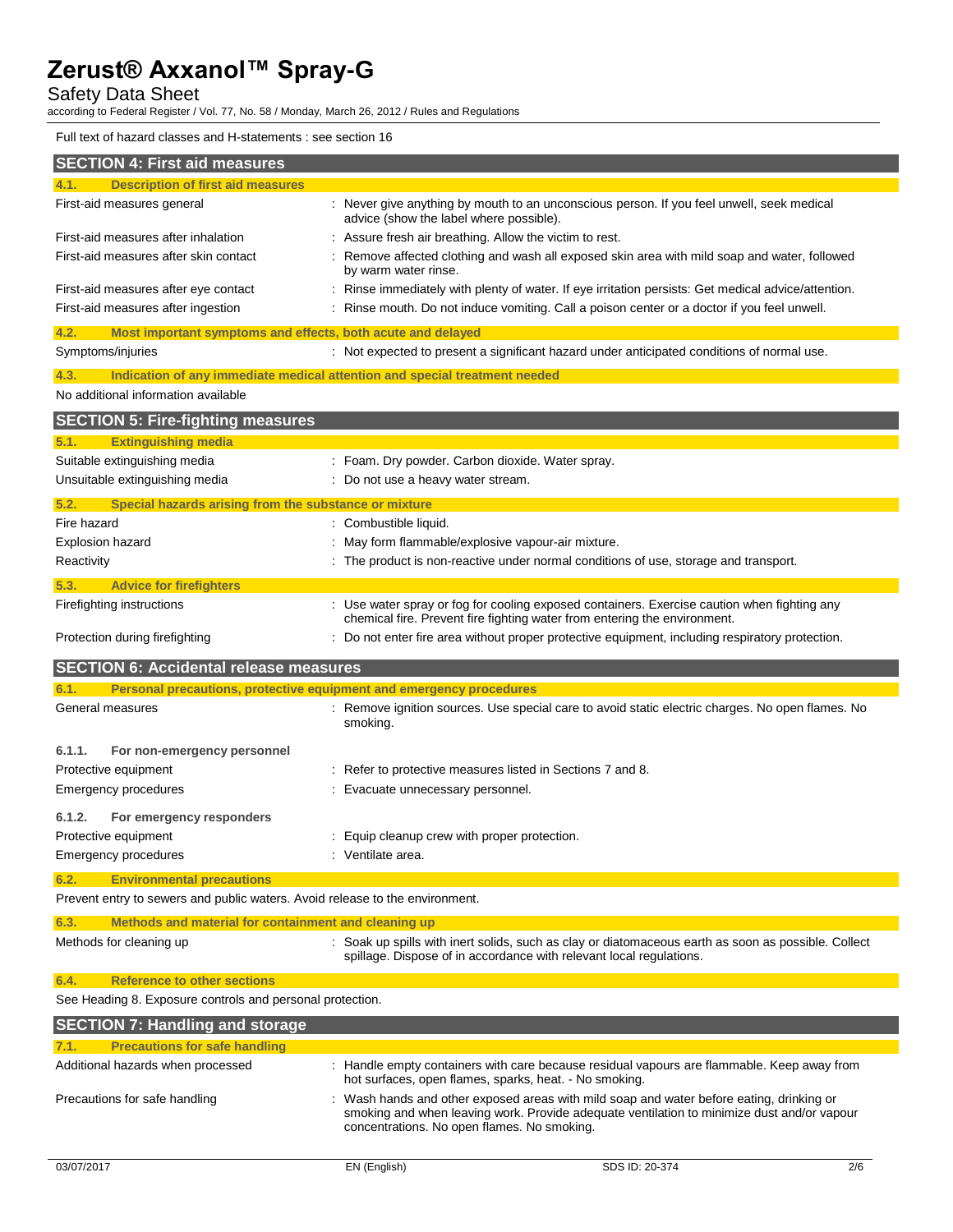Safety Data Sheet

according to Federal Register / Vol. 77, No. 58 / Monday, March 26, 2012 / Rules and Regulations

### Full text of hazard classes and H-statements : see section 16

| <b>SECTION 4: First aid measures</b>                                                                                     |                                                                                                                                                                          |
|--------------------------------------------------------------------------------------------------------------------------|--------------------------------------------------------------------------------------------------------------------------------------------------------------------------|
| <b>Description of first aid measures</b><br>4.1.                                                                         |                                                                                                                                                                          |
| First-aid measures general                                                                                               | : Never give anything by mouth to an unconscious person. If you feel unwell, seek medical<br>advice (show the label where possible).                                     |
| First-aid measures after inhalation                                                                                      | Assure fresh air breathing. Allow the victim to rest.                                                                                                                    |
| First-aid measures after skin contact                                                                                    | Remove affected clothing and wash all exposed skin area with mild soap and water, followed<br>by warm water rinse.                                                       |
| First-aid measures after eye contact                                                                                     | Rinse immediately with plenty of water. If eye irritation persists: Get medical advice/attention.                                                                        |
| First-aid measures after ingestion                                                                                       | Rinse mouth. Do not induce vomiting. Call a poison center or a doctor if you feel unwell.                                                                                |
| Most important symptoms and effects, both acute and delayed<br>4.2.                                                      |                                                                                                                                                                          |
| Symptoms/injuries                                                                                                        | : Not expected to present a significant hazard under anticipated conditions of normal use.                                                                               |
| Indication of any immediate medical attention and special treatment needed<br>4.3.                                       |                                                                                                                                                                          |
| No additional information available                                                                                      |                                                                                                                                                                          |
| <b>SECTION 5: Fire-fighting measures</b>                                                                                 |                                                                                                                                                                          |
| <b>Extinguishing media</b><br>5.1.                                                                                       |                                                                                                                                                                          |
| Suitable extinguishing media                                                                                             | : Foam. Dry powder. Carbon dioxide. Water spray.                                                                                                                         |
| Unsuitable extinguishing media                                                                                           | : Do not use a heavy water stream.                                                                                                                                       |
| Special hazards arising from the substance or mixture<br>5.2.                                                            |                                                                                                                                                                          |
| Fire hazard                                                                                                              | : Combustible liquid.                                                                                                                                                    |
| <b>Explosion hazard</b>                                                                                                  | May form flammable/explosive vapour-air mixture.                                                                                                                         |
| Reactivity                                                                                                               | The product is non-reactive under normal conditions of use, storage and transport.                                                                                       |
| 5.3.<br><b>Advice for firefighters</b>                                                                                   |                                                                                                                                                                          |
| Firefighting instructions                                                                                                | : Use water spray or fog for cooling exposed containers. Exercise caution when fighting any<br>chemical fire. Prevent fire fighting water from entering the environment. |
| Protection during firefighting                                                                                           | Do not enter fire area without proper protective equipment, including respiratory protection.                                                                            |
| <b>SECTION 6: Accidental release measures</b>                                                                            |                                                                                                                                                                          |
| Personal precautions, protective equipment and emergency procedures<br>6.1.                                              |                                                                                                                                                                          |
| General measures                                                                                                         | : Remove ignition sources. Use special care to avoid static electric charges. No open flames. No<br>smoking.                                                             |
| 6.1.1.<br>For non-emergency personnel                                                                                    |                                                                                                                                                                          |
| Protective equipment                                                                                                     | Refer to protective measures listed in Sections 7 and 8.                                                                                                                 |
| Emergency procedures                                                                                                     | Evacuate unnecessary personnel.                                                                                                                                          |
| 6.1.2.                                                                                                                   |                                                                                                                                                                          |
| For emergency responders<br>Protective equipment                                                                         | Equip cleanup crew with proper protection.                                                                                                                               |
| Emergency procedures                                                                                                     | Ventilate area.                                                                                                                                                          |
|                                                                                                                          |                                                                                                                                                                          |
| 6.2.<br><b>Environmental precautions</b><br>Prevent entry to sewers and public waters. Avoid release to the environment. |                                                                                                                                                                          |
| 6.3.<br>Methods and material for containment and cleaning up                                                             |                                                                                                                                                                          |
| Methods for cleaning up                                                                                                  |                                                                                                                                                                          |
|                                                                                                                          | : Soak up spills with inert solids, such as clay or diatomaceous earth as soon as possible. Collect                                                                      |
|                                                                                                                          | spillage. Dispose of in accordance with relevant local regulations.                                                                                                      |
| <b>Reference to other sections</b><br>6.4.                                                                               |                                                                                                                                                                          |
| See Heading 8. Exposure controls and personal protection.                                                                |                                                                                                                                                                          |
| <b>SECTION 7: Handling and storage</b>                                                                                   |                                                                                                                                                                          |
| <b>Precautions for safe handling</b><br>7.1.                                                                             |                                                                                                                                                                          |
| Additional hazards when processed                                                                                        | Handle empty containers with care because residual vapours are flammable. Keep away from<br>hot surfaces, open flames, sparks, heat. - No smoking.                       |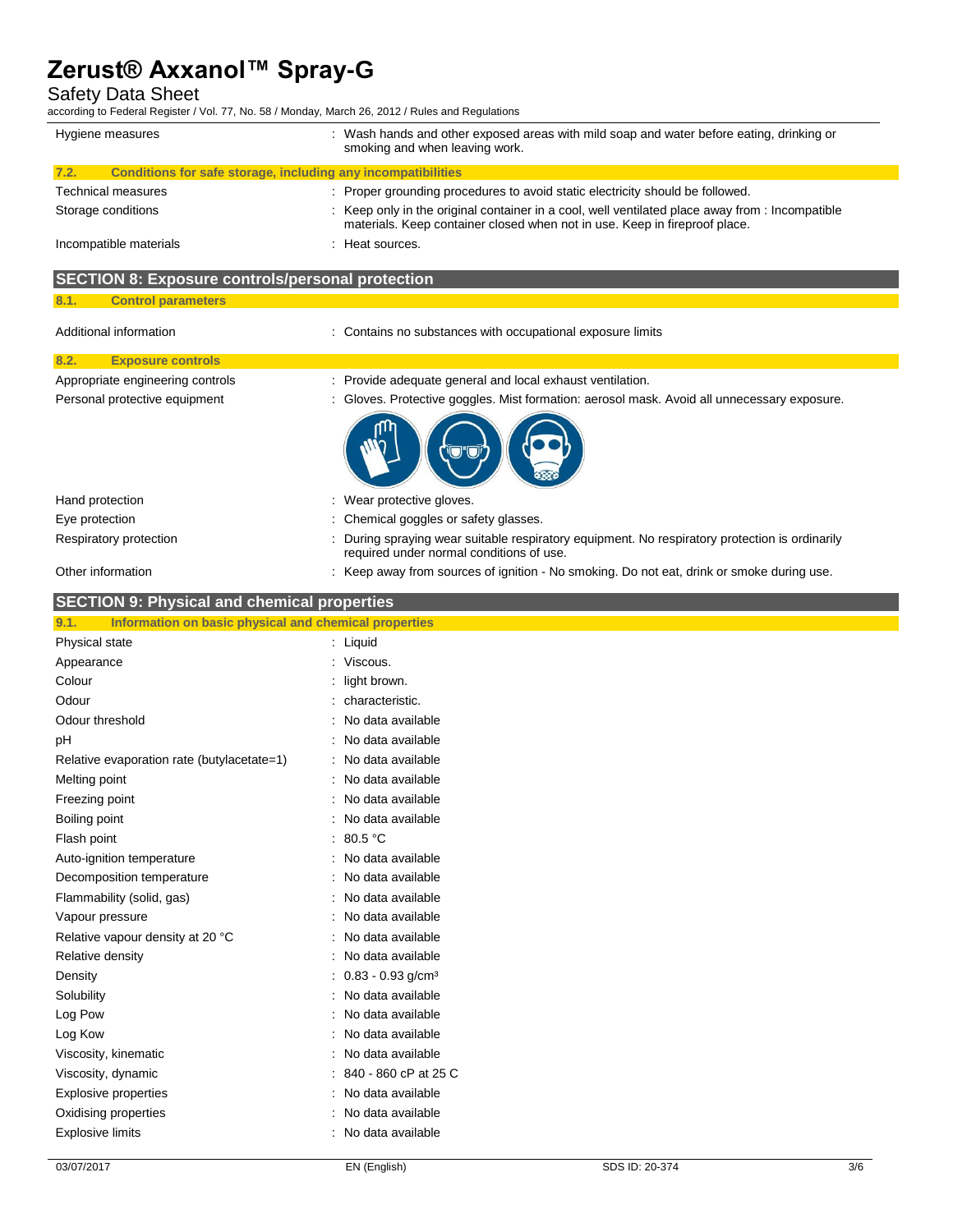Safety Data Sheet

according to Federal Register / Vol. 77, No. 58 / Monday, March 26, 2012 / Rules and Regulations

| CONDING to Federal Register / VOI. 77, NO. 30 / MONDAY, March 20, 2012 / Rules and Regulations<br>Hygiene measures | : Wash hands and other exposed areas with mild soap and water before eating, drinking or                                                                                    |
|--------------------------------------------------------------------------------------------------------------------|-----------------------------------------------------------------------------------------------------------------------------------------------------------------------------|
|                                                                                                                    | smoking and when leaving work.                                                                                                                                              |
| Conditions for safe storage, including any incompatibilities<br>7.2.                                               |                                                                                                                                                                             |
| Technical measures                                                                                                 | : Proper grounding procedures to avoid static electricity should be followed.                                                                                               |
| Storage conditions                                                                                                 | Keep only in the original container in a cool, well ventilated place away from : Incompatible<br>materials. Keep container closed when not in use. Keep in fireproof place. |
| Incompatible materials                                                                                             | Heat sources.                                                                                                                                                               |
| <b>SECTION 8: Exposure controls/personal protection</b>                                                            |                                                                                                                                                                             |
| <b>Control parameters</b><br>8.1.                                                                                  |                                                                                                                                                                             |
| Additional information                                                                                             | : Contains no substances with occupational exposure limits                                                                                                                  |
| <b>Exposure controls</b><br>8.2.                                                                                   |                                                                                                                                                                             |
| Appropriate engineering controls                                                                                   | : Provide adequate general and local exhaust ventilation.                                                                                                                   |
| Personal protective equipment                                                                                      | Gloves. Protective goggles. Mist formation: aerosol mask. Avoid all unnecessary exposure.                                                                                   |
|                                                                                                                    |                                                                                                                                                                             |
| Hand protection                                                                                                    | Wear protective gloves.                                                                                                                                                     |
| Eye protection                                                                                                     | Chemical goggles or safety glasses.                                                                                                                                         |
| Respiratory protection                                                                                             | During spraying wear suitable respiratory equipment. No respiratory protection is ordinarily<br>required under normal conditions of use.                                    |
| Other information                                                                                                  | : Keep away from sources of ignition - No smoking. Do not eat, drink or smoke during use.                                                                                   |
| <b>SECTION 9: Physical and chemical properties</b>                                                                 |                                                                                                                                                                             |
| Information on basic physical and chemical properties<br>9.1.                                                      |                                                                                                                                                                             |
| Physical state                                                                                                     | : Liquid                                                                                                                                                                    |
| Appearance                                                                                                         | Viscous.                                                                                                                                                                    |
| Colour                                                                                                             | light brown.                                                                                                                                                                |
| Odour                                                                                                              | characteristic.                                                                                                                                                             |
| Odour threshold                                                                                                    | No data available                                                                                                                                                           |
| рH                                                                                                                 | No data available                                                                                                                                                           |
| Relative evaporation rate (butylacetate=1)                                                                         | No data available                                                                                                                                                           |
| Melting point                                                                                                      | No data available                                                                                                                                                           |
| Freezing point                                                                                                     | No data available                                                                                                                                                           |
| Boiling point                                                                                                      | No data available                                                                                                                                                           |
| Flash point                                                                                                        | 80.5 °C                                                                                                                                                                     |
| Auto-ignition temperature                                                                                          | No data available                                                                                                                                                           |
| Decomposition temperature<br>Flammability (solid, gas)                                                             | No data available<br>No data available                                                                                                                                      |
|                                                                                                                    | No data available                                                                                                                                                           |
| Vapour pressure                                                                                                    | No data available                                                                                                                                                           |
| Relative vapour density at 20 °C<br>Relative density                                                               | No data available                                                                                                                                                           |
|                                                                                                                    | $: 0.83 - 0.93$ g/cm <sup>3</sup>                                                                                                                                           |
| Density                                                                                                            | : No data available                                                                                                                                                         |
| Solubility<br>Log Pow                                                                                              | : No data available                                                                                                                                                         |
| Log Kow                                                                                                            | No data available                                                                                                                                                           |
| Viscosity, kinematic                                                                                               | No data available                                                                                                                                                           |
| Viscosity, dynamic                                                                                                 | 840 - 860 cP at 25 C                                                                                                                                                        |
| Explosive properties                                                                                               | No data available                                                                                                                                                           |
| Oxidising properties                                                                                               | No data available                                                                                                                                                           |
| <b>Explosive limits</b>                                                                                            | No data available                                                                                                                                                           |
|                                                                                                                    |                                                                                                                                                                             |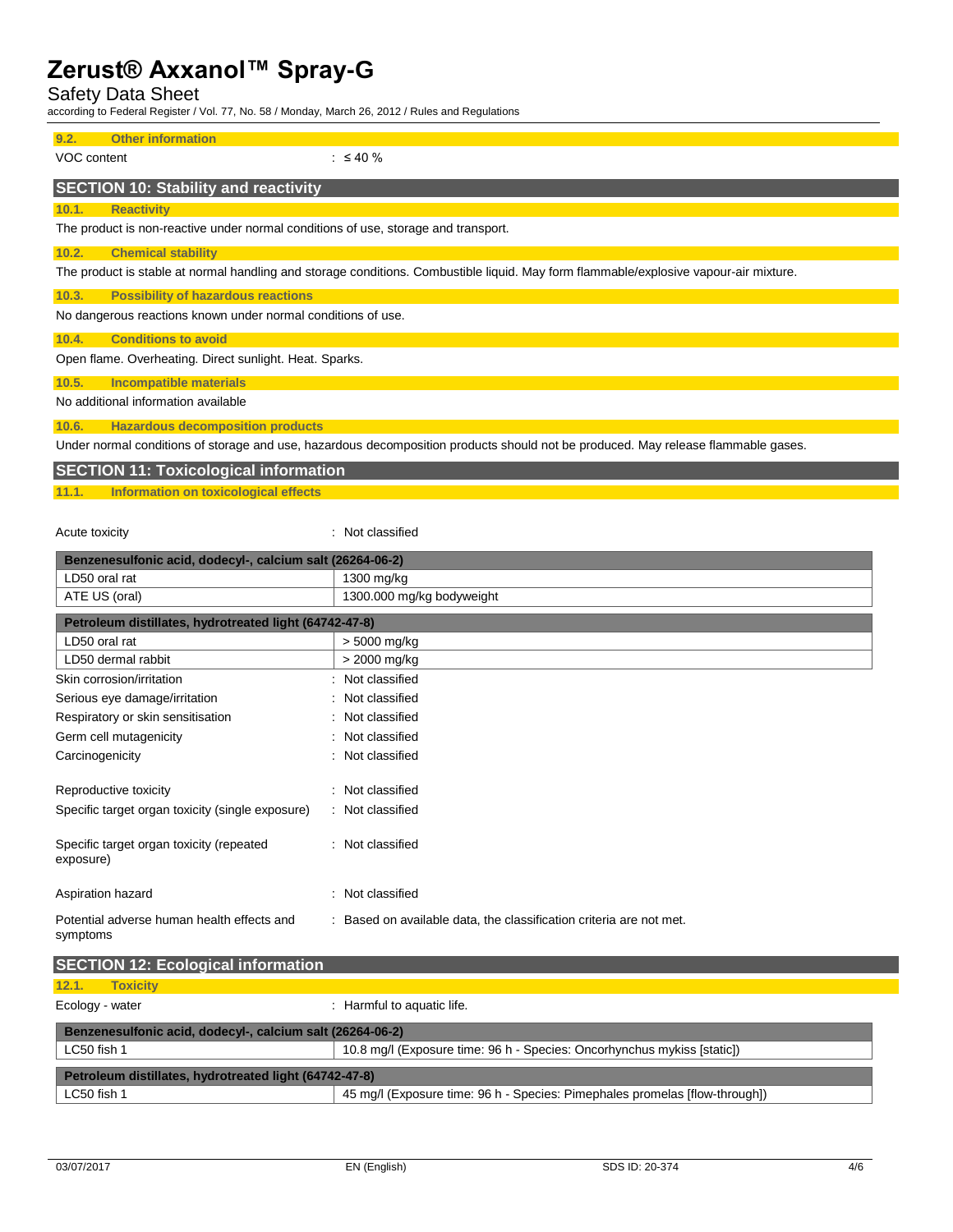Acute toxicity in the contract of the classified in the classified in the classified in the classified in the classified in the classified in the classified in the classified in the classified in the classified in the clas

Safety Data Sheet

according to Federal Register / Vol. 77, No. 58 / Monday, March 26, 2012 / Rules and Regulations

| 9.2.<br><b>Other information</b>                                                                                                      |
|---------------------------------------------------------------------------------------------------------------------------------------|
| VOC content<br>$\therefore$ $\leq$ 40 %                                                                                               |
| <b>SECTION 10: Stability and reactivity</b>                                                                                           |
| 10.1.<br><b>Reactivity</b>                                                                                                            |
| The product is non-reactive under normal conditions of use, storage and transport.                                                    |
| 10.2.<br><b>Chemical stability</b>                                                                                                    |
| The product is stable at normal handling and storage conditions. Combustible liquid. May form flammable/explosive vapour-air mixture. |
| <b>Possibility of hazardous reactions</b><br>10.3.                                                                                    |
| No dangerous reactions known under normal conditions of use.                                                                          |
| <b>Conditions to avoid</b><br>10.4.                                                                                                   |
| Open flame. Overheating. Direct sunlight. Heat. Sparks.                                                                               |
| 10.5.<br>Incompatible materials                                                                                                       |
| No additional information available                                                                                                   |
| 10.6.<br><b>Hazardous decomposition products</b>                                                                                      |
| Under normal conditions of storage and use, hazardous decomposition products should not be produced. May release flammable gases.     |
| <b>SECTION 11: Toxicological information</b>                                                                                          |
| Information on toxicological effects<br>11.1.                                                                                         |
|                                                                                                                                       |

**Benzenesulfonic acid, dodecyl-, calcium salt (26264-06-2)** LD50 oral rat 1300 mg/kg ATE US (oral) 1300.000 mg/kg bodyweight **Petroleum distillates, hydrotreated light (64742-47-8)** LD50 oral rat  $\vert$  > 5000 mg/kg LD50 dermal rabbit  $\vert$  > 2000 mg/kg Skin corrosion/irritation in the set of the set of the Skin corrosion/irritation Serious eye damage/irritation : Not classified Respiratory or skin sensitisation : Not classified Germ cell mutagenicity **Second Contract Contract Contract Contract Contract Contract Contract Contract Contract Contract Contract Contract Contract Contract Contract Contract Contract Contract Contract Contract Contract Co** Carcinogenicity **Carcinogenicity 1999 Carcinogenicity Carcinogenicity Carcinogenicity Carcinogenicity Carcinogenicity Carcinogenicity Carcinogenicity** Reproductive toxicity **in the contract of the CRS** in Not classified Specific target organ toxicity (single exposure) : Not classified Specific target organ toxicity (repeated exposure) : Not classified Aspiration hazard **in the set of the set of the set of the set of the set of the set of the set of the set of the set of the set of the set of the set of the set of the set of the set of the set of the set of the set of th** Potential adverse human health effects and symptoms : Based on available data, the classification criteria are not met.

| <b>SECTION 12: Ecological information</b>                 |                                                                             |  |
|-----------------------------------------------------------|-----------------------------------------------------------------------------|--|
| 12.1.<br><b>Toxicity</b>                                  |                                                                             |  |
| Ecology - water                                           | : Harmful to aquatic life.                                                  |  |
| Benzenesulfonic acid, dodecyl-, calcium salt (26264-06-2) |                                                                             |  |
| LC50 fish 1                                               | 10.8 mg/l (Exposure time: 96 h - Species: Oncorhynchus mykiss [static])     |  |
| Petroleum distillates, hydrotreated light (64742-47-8)    |                                                                             |  |
| LC50 fish 1                                               | 45 mg/l (Exposure time: 96 h - Species: Pimephales promelas [flow-through]) |  |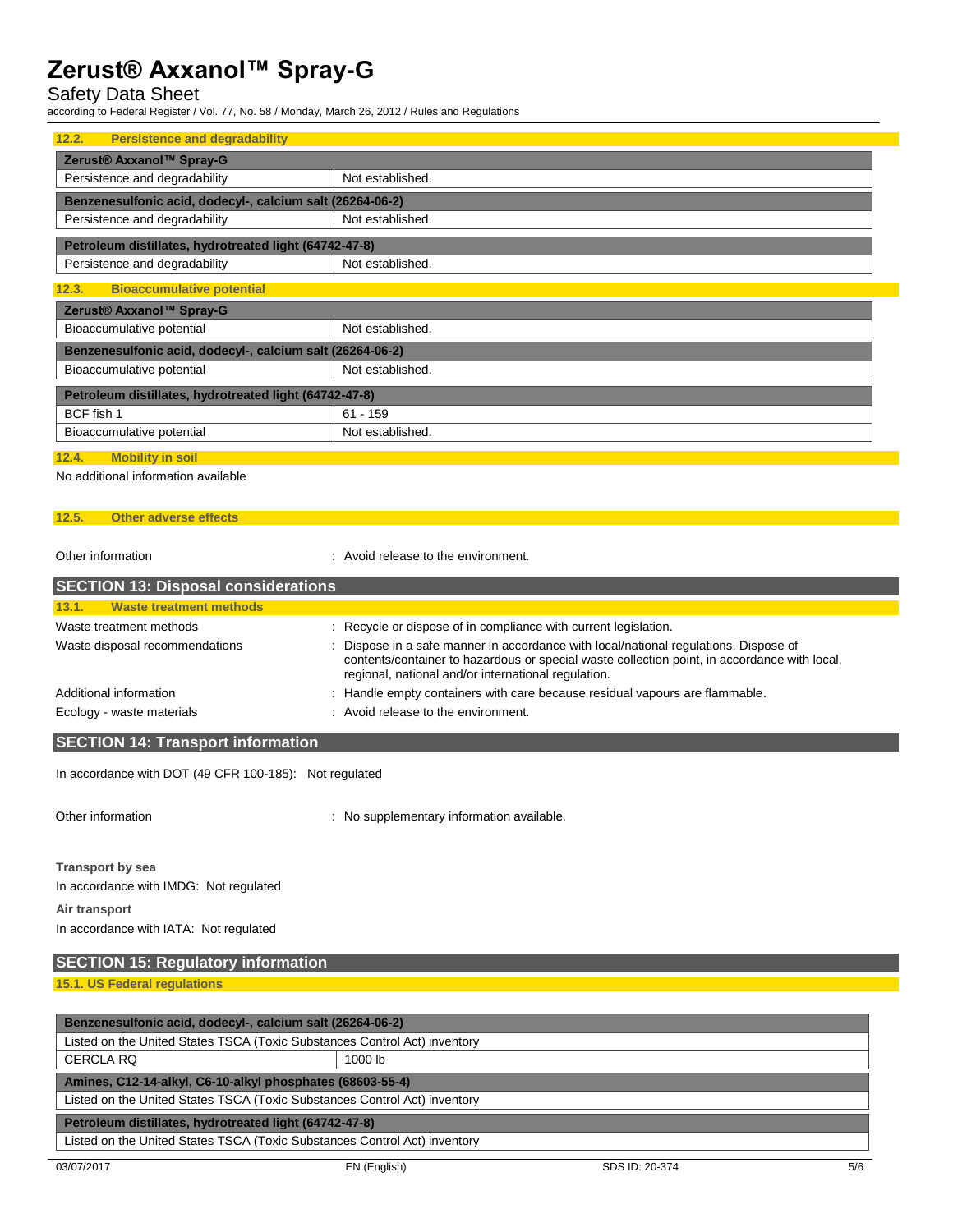## Safety Data Sheet

according to Federal Register / Vol. 77, No. 58 / Monday, March 26, 2012 / Rules and Regulations

| 12.2.<br><b>Persistence and degradability</b>             |                                                        |  |  |
|-----------------------------------------------------------|--------------------------------------------------------|--|--|
| Zerust® Axxanol™ Spray-G                                  |                                                        |  |  |
| Persistence and degradability                             | Not established.                                       |  |  |
| Benzenesulfonic acid, dodecyl-, calcium salt (26264-06-2) |                                                        |  |  |
| Persistence and degradability                             | Not established.                                       |  |  |
|                                                           | Petroleum distillates, hydrotreated light (64742-47-8) |  |  |
| Persistence and degradability                             | Not established.                                       |  |  |
| <b>Bioaccumulative potential</b><br>12.3.                 |                                                        |  |  |
| Zerust® Axxanol™ Spray-G                                  |                                                        |  |  |
| Bioaccumulative potential                                 | Not established.                                       |  |  |
| Benzenesulfonic acid, dodecyl-, calcium salt (26264-06-2) |                                                        |  |  |
| Bioaccumulative potential                                 | Not established.                                       |  |  |
| Petroleum distillates, hydrotreated light (64742-47-8)    |                                                        |  |  |
| BCF fish 1                                                | $61 - 159$                                             |  |  |
| Bioaccumulative potential                                 | Not established.                                       |  |  |
|                                                           |                                                        |  |  |

#### **12.4. Mobility in soil**

No additional information available

### **12.5. Other adverse effects**

Other information **COLOGY COLOGY COLOGY COLOGY COLOGY COLOGY COLOGY COLOGY COLOGY COLOGY COLOGY COLOGY COLOGY COLOGY COLOGY COLOGY COLOGY COLOGY COLOGY COLOGY COLOGY COLOGY COLOG** 

| <b>SECTION 13: Disposal considerations</b> |                                                                                                                                                                                                                                             |
|--------------------------------------------|---------------------------------------------------------------------------------------------------------------------------------------------------------------------------------------------------------------------------------------------|
| Waste treatment methods<br>13.1.           |                                                                                                                                                                                                                                             |
| Waste treatment methods                    | : Recycle or dispose of in compliance with current legislation.                                                                                                                                                                             |
| Waste disposal recommendations             | : Dispose in a safe manner in accordance with local/national regulations. Dispose of<br>contents/container to hazardous or special waste collection point, in accordance with local,<br>regional, national and/or international regulation. |
| Additional information                     | : Handle empty containers with care because residual vapours are flammable.                                                                                                                                                                 |
| Ecology - waste materials                  | : Avoid release to the environment.                                                                                                                                                                                                         |

## **SECTION 14: Transport information**

In accordance with DOT (49 CFR 100-185): Not regulated

Other information **contracts** : No supplementary information available.

**Transport by sea** In accordance with IMDG: Not regulated **Air transport**

In accordance with IATA: Not regulated

# **SECTION 15: Regulatory information 15.1. US Federal regulations**

| Benzenesulfonic acid, dodecyl-, calcium salt (26264-06-2)                 |         |  |
|---------------------------------------------------------------------------|---------|--|
| Listed on the United States TSCA (Toxic Substances Control Act) inventory |         |  |
| <b>CERCLA RQ</b>                                                          | 1000 lb |  |
| Amines, C12-14-alkyl, C6-10-alkyl phosphates (68603-55-4)                 |         |  |
| Listed on the United States TSCA (Toxic Substances Control Act) inventory |         |  |
| Petroleum distillates, hydrotreated light (64742-47-8)                    |         |  |
| Listed on the United States TSCA (Toxic Substances Control Act) inventory |         |  |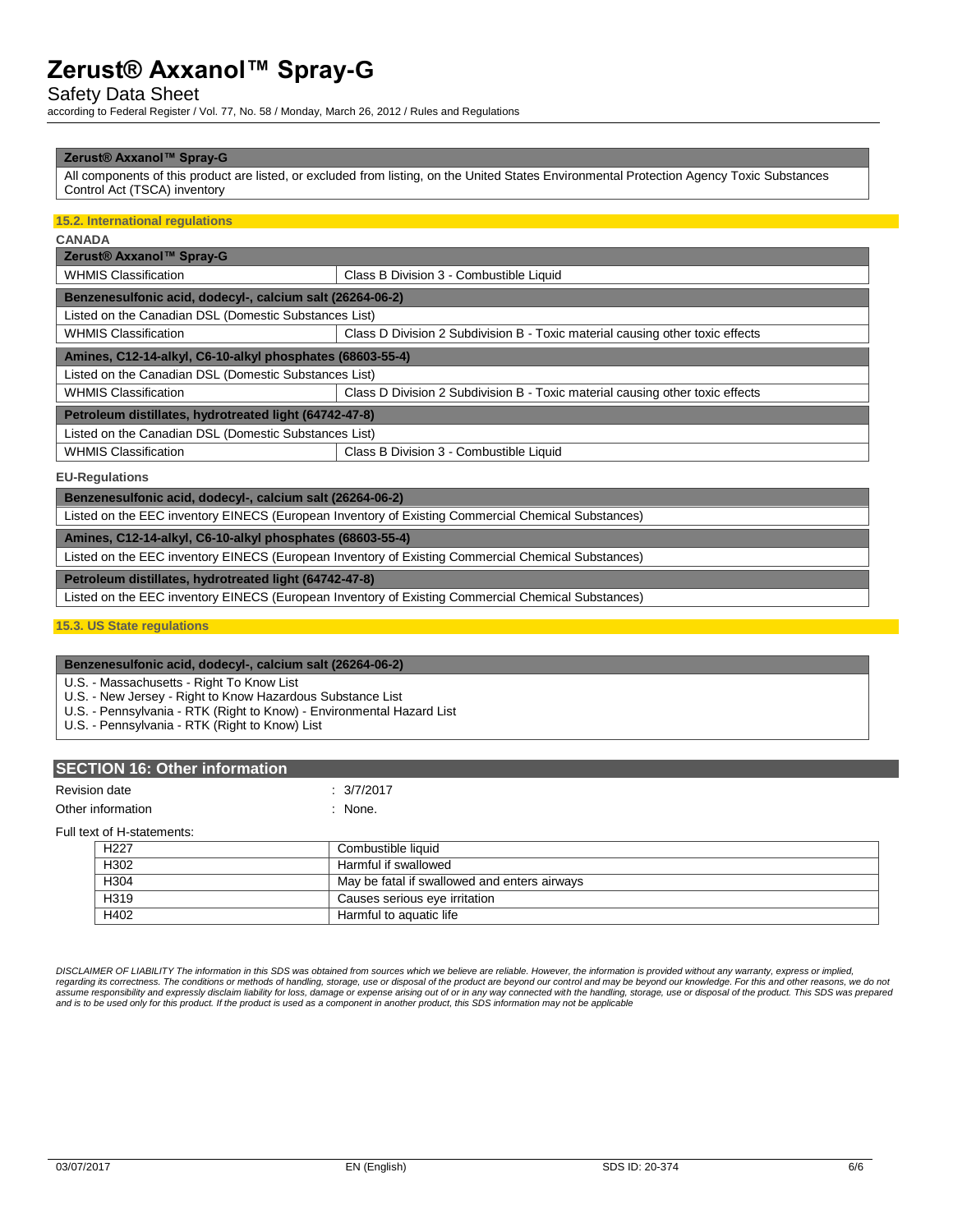### Safety Data Sheet

according to Federal Register / Vol. 77, No. 58 / Monday, March 26, 2012 / Rules and Regulations

#### **Zerust® Axxanol™ Spray-G**

All components of this product are listed, or excluded from listing, on the United States Environmental Protection Agency Toxic Substances Control Act (TSCA) inventory

### **15.2. International regulations**

| ı<br>×<br>٠ |
|-------------|
|-------------|

| Zerust® Axxanol™ Spray-G                                                                           |                                                                               |  |  |
|----------------------------------------------------------------------------------------------------|-------------------------------------------------------------------------------|--|--|
| <b>WHMIS Classification</b>                                                                        | Class B Division 3 - Combustible Liquid                                       |  |  |
| Benzenesulfonic acid, dodecyl-, calcium salt (26264-06-2)                                          |                                                                               |  |  |
| Listed on the Canadian DSL (Domestic Substances List)                                              |                                                                               |  |  |
| <b>WHMIS Classification</b>                                                                        | Class D Division 2 Subdivision B - Toxic material causing other toxic effects |  |  |
| Amines, C12-14-alkyl, C6-10-alkyl phosphates (68603-55-4)                                          |                                                                               |  |  |
| Listed on the Canadian DSL (Domestic Substances List)                                              |                                                                               |  |  |
| <b>WHMIS Classification</b>                                                                        | Class D Division 2 Subdivision B - Toxic material causing other toxic effects |  |  |
| Petroleum distillates, hydrotreated light (64742-47-8)                                             |                                                                               |  |  |
| Listed on the Canadian DSL (Domestic Substances List)                                              |                                                                               |  |  |
| <b>WHMIS Classification</b>                                                                        | Class B Division 3 - Combustible Liquid                                       |  |  |
| <b>EU-Regulations</b>                                                                              |                                                                               |  |  |
| Benzenesulfonic acid, dodecyl-, calcium salt (26264-06-2)                                          |                                                                               |  |  |
| Listed on the EEC inventory EINECS (European Inventory of Existing Commercial Chemical Substances) |                                                                               |  |  |

**Amines, C12-14-alkyl, C6-10-alkyl phosphates (68603-55-4)**

Listed on the EEC inventory EINECS (European Inventory of Existing Commercial Chemical Substances)

**Petroleum distillates, hydrotreated light (64742-47-8)**

Listed on the EEC inventory EINECS (European Inventory of Existing Commercial Chemical Substances)

**15.3. US State regulations**

#### **Benzenesulfonic acid, dodecyl-, calcium salt (26264-06-2)**

U.S. - Massachusetts - Right To Know List

U.S. - New Jersey - Right to Know Hazardous Substance List

U.S. - Pennsylvania - RTK (Right to Know) - Environmental Hazard List

U.S. - Pennsylvania - RTK (Right to Know) List

### **SECTION 16: Other information**

#### Revision date : 3/7/2017

Other information in the state of the state of the state of the state of the state of the state of the state of the state of the state of the state of the state of the state of the state of the state of the state of the st

Full text of H-statements:

| . שוו שוט של היו של הישרא |                                              |  |
|---------------------------|----------------------------------------------|--|
| H <sub>22</sub> 7         | Combustible liquid                           |  |
| H302                      | Harmful if swallowed                         |  |
| H <sub>304</sub>          | May be fatal if swallowed and enters airways |  |
| H <sub>319</sub>          | Causes serious eye irritation                |  |
| H402                      | Harmful to aguatic life                      |  |

*DISCLAIMER OF LIABILITY The information in this SDS was obtained from sources which we believe are reliable. However, the information is provided without any warranty, express or implied,*  regarding its correctness. The conditions or methods of handling, storage, use or disposal of the product are beyond our control and may be beyond our knowledge. For this and other reasons, we do not assume responsibility and expressly disclaim liability for loss, damage or expense arising out of or in any way connected with the handling, storage, use or disposal of the product. This SDS was prepared<br>and is to be used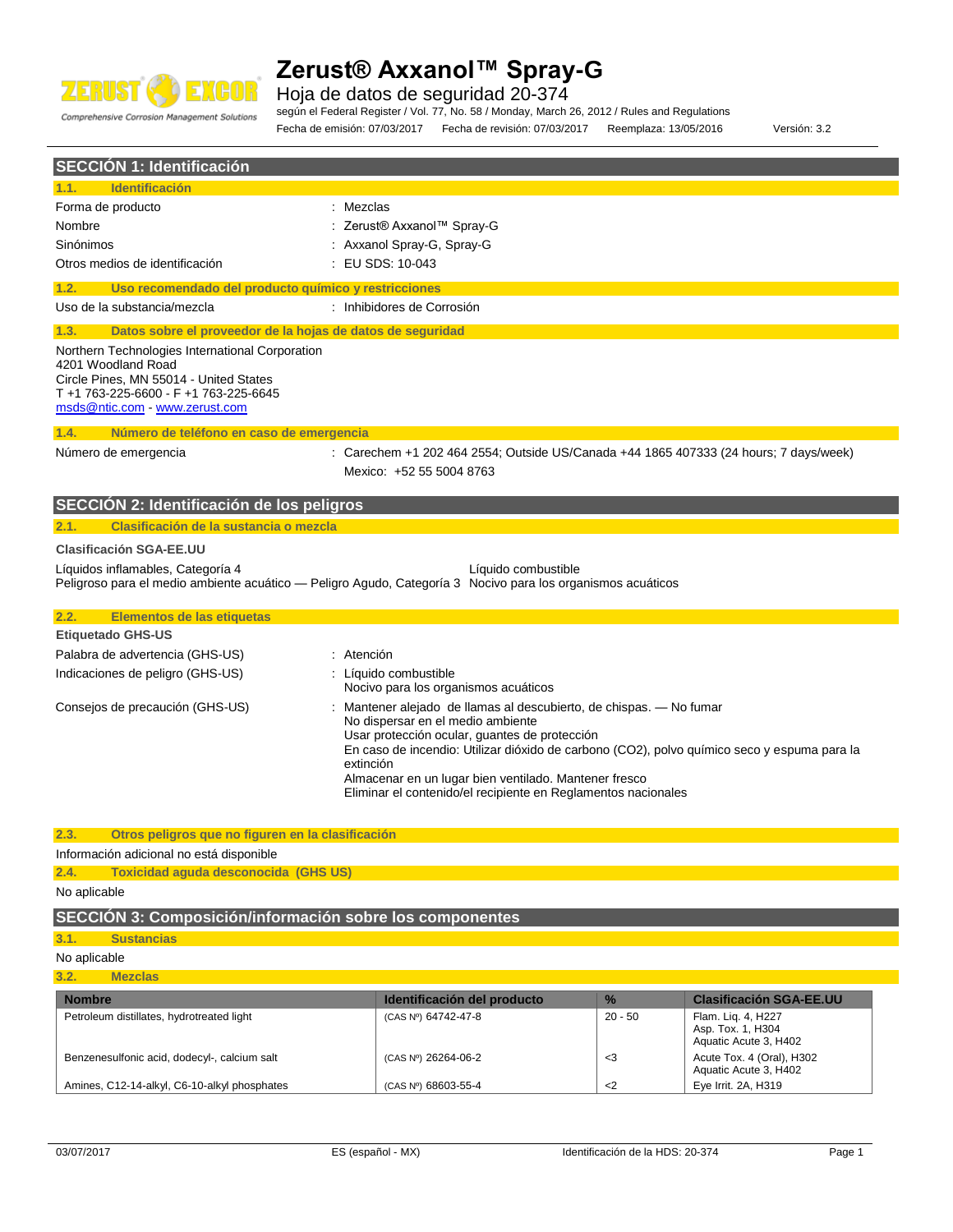

Hoja de datos de seguridad 20-374

Comprehensive Corrosion Management Solutions

según el Federal Register / Vol. 77, No. 58 / Monday, March 26, 2012 / Rules and Regulations

Fecha de emisión: 07/03/2017 Fecha de revisión: 07/03/2017 Reemplaza: 13/05/2016 Versión: 3.2

**SECCIÓN 1: Identificación 1.1. Identificación** Forma de producto in the set of the set of the set of the set of the set of the set of the set of the set of the set of the set of the set of the set of the set of the set of the set of the set of the set of the set of the Nombre : Zerust® Axxanol™ Spray-G Sinónimos : Axxanol Spray-G, Spray-G Otros medios de identificación : EU SDS: 10-043 **1.2. Uso recomendado del producto químico y restricciones** Uso de la substancia/mezcla : Inhibidores de Corrosión **1.3. Datos sobre el proveedor de la hojas de datos de seguridad** Northern Technologies International Corporation 4201 Woodland Road Circle Pines, MN 55014 - United States T +1 763-225-6600 - F +1 763-225-6645 [msds@ntic.com](mailto:msds@ntic.com) - <www.zerust.com> **1.4. Número de teléfono en caso de emergencia** Número de emergencia : Carechem +1 202 464 2554; Outside US/Canada +44 1865 407333 (24 hours; 7 days/week) Mexico: +52 55 5004 8763 **SECCIÓN 2: Identificación de los peligros 2.1. Clasificación de la sustancia o mezcla Clasificación SGA-EE.UU** Líquidos inflamables, Categoría 4 Líquido combustible Peligroso para el medio ambiente acuático — Peligro Agudo, Categoría 3 Nocivo para los organismos acuáticos **2.2. Elementos de las etiquetas Etiquetado GHS-US** Palabra de advertencia (GHS-US) : Atención Indicaciones de peligro (GHS-US) : Líquido combustible Nocivo para los organismos acuáticos Consejos de precaución (GHS-US) : Mantener alejado de llamas al descubierto, de chispas. — No fumar No dispersar en el medio ambiente Usar protección ocular, guantes de protección En caso de incendio: Utilizar dióxido de carbono (CO2), polvo químico seco y espuma para la extinción Almacenar en un lugar bien ventilado. Mantener fresco Eliminar el contenido/el recipiente en Reglamentos nacionales **2.3. Otros peligros que no figuren en la clasificación** Información adicional no está disponible **2.4. Toxicidad aguda desconocida (GHS US)** No aplicable **SECCIÓN 3: Composición/información sobre los componentes 3.1. Sustancias** No aplicable **3.2. Mezclas Nombre Identificación del producto % Clasificación SGA-EE.UU**

| <b>Nombre</b>                                | <b>Identificación del producto</b> | $\frac{1}{2}$ | <b>Clasificación SGA-EE.UU</b>                                   |
|----------------------------------------------|------------------------------------|---------------|------------------------------------------------------------------|
| Petroleum distillates, hydrotreated light    | (CAS Nº) 64742-47-8                | 20 - 50       | Flam. Lig. 4, H227<br>Asp. Tox. 1, H304<br>Aquatic Acute 3, H402 |
| Benzenesulfonic acid, dodecyl-, calcium salt | (CAS Nº) 26264-06-2                | - 3           | Acute Tox. 4 (Oral), H302<br>Aquatic Acute 3, H402               |
| Amines, C12-14-alkyl, C6-10-alkyl phosphates | (CAS Nº) 68603-55-4                | $<$ 2         | Eye Irrit. 2A, H319                                              |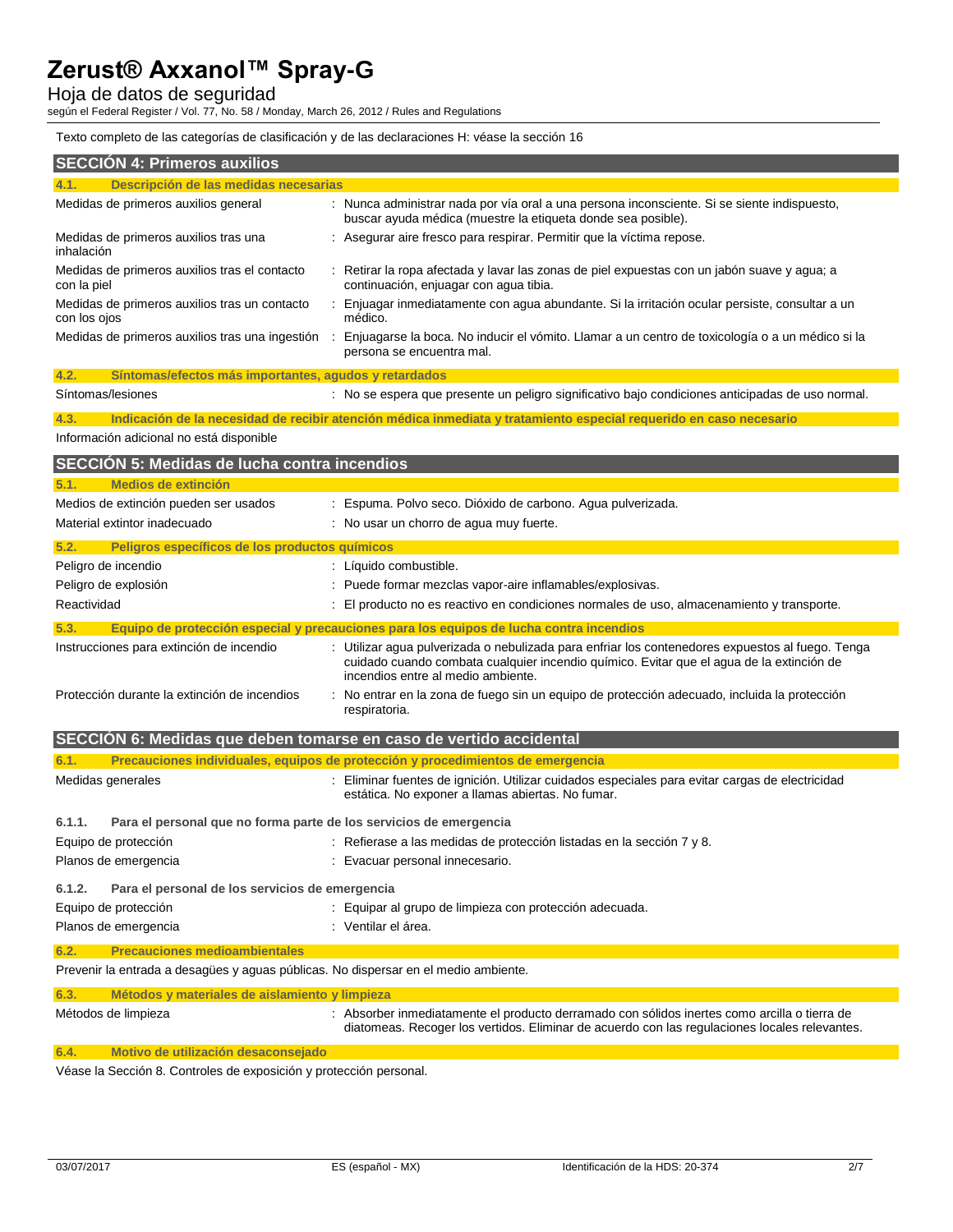Hoja de datos de seguridad

según el Federal Register / Vol. 77, No. 58 / Monday, March 26, 2012 / Rules and Regulations

Texto completo de las categorías de clasificación y de las declaraciones H: véase la sección 16

| <b>SECCIÓN 4: Primeros auxilios</b>                                                 |                                                                                                                                                                                                                                    |  |  |
|-------------------------------------------------------------------------------------|------------------------------------------------------------------------------------------------------------------------------------------------------------------------------------------------------------------------------------|--|--|
| Descripción de las medidas necesarias                                               |                                                                                                                                                                                                                                    |  |  |
| Medidas de primeros auxilios general                                                | : Nunca administrar nada por vía oral a una persona inconsciente. Si se siente indispuesto,<br>buscar ayuda médica (muestre la etiqueta donde sea posible).                                                                        |  |  |
| Medidas de primeros auxilios tras una<br>inhalación                                 | : Asegurar aire fresco para respirar. Permitir que la víctima repose.                                                                                                                                                              |  |  |
| Medidas de primeros auxilios tras el contacto<br>con la piel                        | : Retirar la ropa afectada y lavar las zonas de piel expuestas con un jabón suave y agua; a<br>continuación, enjuagar con agua tibia.                                                                                              |  |  |
| Medidas de primeros auxilios tras un contacto<br>con los ojos                       | Enjuagar inmediatamente con agua abundante. Si la irritación ocular persiste, consultar a un<br>médico.                                                                                                                            |  |  |
| Medidas de primeros auxilios tras una ingestión<br>$\sim$                           | Enjuagarse la boca. No inducir el vómito. Llamar a un centro de toxicología o a un médico si la<br>persona se encuentra mal.                                                                                                       |  |  |
| 4.2.<br>Síntomas/efectos más importantes, agudos y retardados                       |                                                                                                                                                                                                                                    |  |  |
| Síntomas/lesiones                                                                   | : No se espera que presente un peligro significativo bajo condiciones anticipadas de uso normal.                                                                                                                                   |  |  |
| 4.3.                                                                                | Indicación de la necesidad de recibir atención médica inmediata y tratamiento especial requerido en caso necesario                                                                                                                 |  |  |
| Información adicional no está disponible                                            |                                                                                                                                                                                                                                    |  |  |
| <b>SECCIÓN 5: Medidas de lucha contra incendios</b>                                 |                                                                                                                                                                                                                                    |  |  |
| <b>Medios de extinción</b><br>5.1.                                                  |                                                                                                                                                                                                                                    |  |  |
| Medios de extinción pueden ser usados                                               | : Espuma. Polvo seco. Dióxido de carbono. Agua pulverizada.                                                                                                                                                                        |  |  |
| Material extintor inadecuado                                                        | : No usar un chorro de agua muy fuerte.                                                                                                                                                                                            |  |  |
| 5.2.<br>Peligros específicos de los productos químicos                              |                                                                                                                                                                                                                                    |  |  |
| Peligro de incendio                                                                 | : Líquido combustible.                                                                                                                                                                                                             |  |  |
| Peligro de explosión                                                                | : Puede formar mezclas vapor-aire inflamables/explosivas.                                                                                                                                                                          |  |  |
| Reactividad                                                                         | : El producto no es reactivo en condiciones normales de uso, almacenamiento y transporte.                                                                                                                                          |  |  |
| 5.3.                                                                                | Equipo de protección especial y precauciones para los equipos de lucha contra incendios                                                                                                                                            |  |  |
| Instrucciones para extinción de incendio                                            | : Utilizar agua pulverizada o nebulizada para enfriar los contenedores expuestos al fuego. Tenga<br>cuidado cuando combata cualquier incendio químico. Evitar que el agua de la extinción de<br>incendios entre al medio ambiente. |  |  |
| Protección durante la extinción de incendios                                        | : No entrar en la zona de fuego sin un equipo de protección adecuado, incluida la protección<br>respiratoria.                                                                                                                      |  |  |
| SECCION 6: Medidas que deben tomarse en caso de vertido accidental                  |                                                                                                                                                                                                                                    |  |  |
| 6.1.                                                                                | Precauciones individuales, equipos de protección y procedimientos de emergencia                                                                                                                                                    |  |  |
| Medidas generales                                                                   | : Eliminar fuentes de ignición. Utilizar cuidados especiales para evitar cargas de electricidad<br>estática. No exponer a llamas abiertas. No fumar.                                                                               |  |  |
| Para el personal que no forma parte de los servicios de emergencia<br>6.1.1.        |                                                                                                                                                                                                                                    |  |  |
| Equipo de protección                                                                | : Refierase a las medidas de protección listadas en la sección 7 y 8.                                                                                                                                                              |  |  |
| Planos de emergencia                                                                | : Evacuar personal innecesario.                                                                                                                                                                                                    |  |  |
| 6.1.2.<br>Para el personal de los servicios de emergencia                           |                                                                                                                                                                                                                                    |  |  |
| Equipo de protección                                                                | : Equipar al grupo de limpieza con protección adecuada.                                                                                                                                                                            |  |  |
| Planos de emergencia                                                                | : Ventilar el área.                                                                                                                                                                                                                |  |  |
| <b>Precauciones medioambientales</b><br>6.2.                                        |                                                                                                                                                                                                                                    |  |  |
| Prevenir la entrada a desagües y aguas públicas. No dispersar en el medio ambiente. |                                                                                                                                                                                                                                    |  |  |
| Métodos y materiales de aislamiento y limpieza                                      |                                                                                                                                                                                                                                    |  |  |
| 6.3.                                                                                | : Absorber inmediatamente el producto derramado con sólidos inertes como arcilla o tierra de                                                                                                                                       |  |  |
| Métodos de limpieza                                                                 | diatomeas. Recoger los vertidos. Eliminar de acuerdo con las regulaciones locales relevantes.                                                                                                                                      |  |  |
| Motivo de utilización desaconsejado<br>6.4.                                         |                                                                                                                                                                                                                                    |  |  |

Véase la Sección 8. Controles de exposición y protección personal.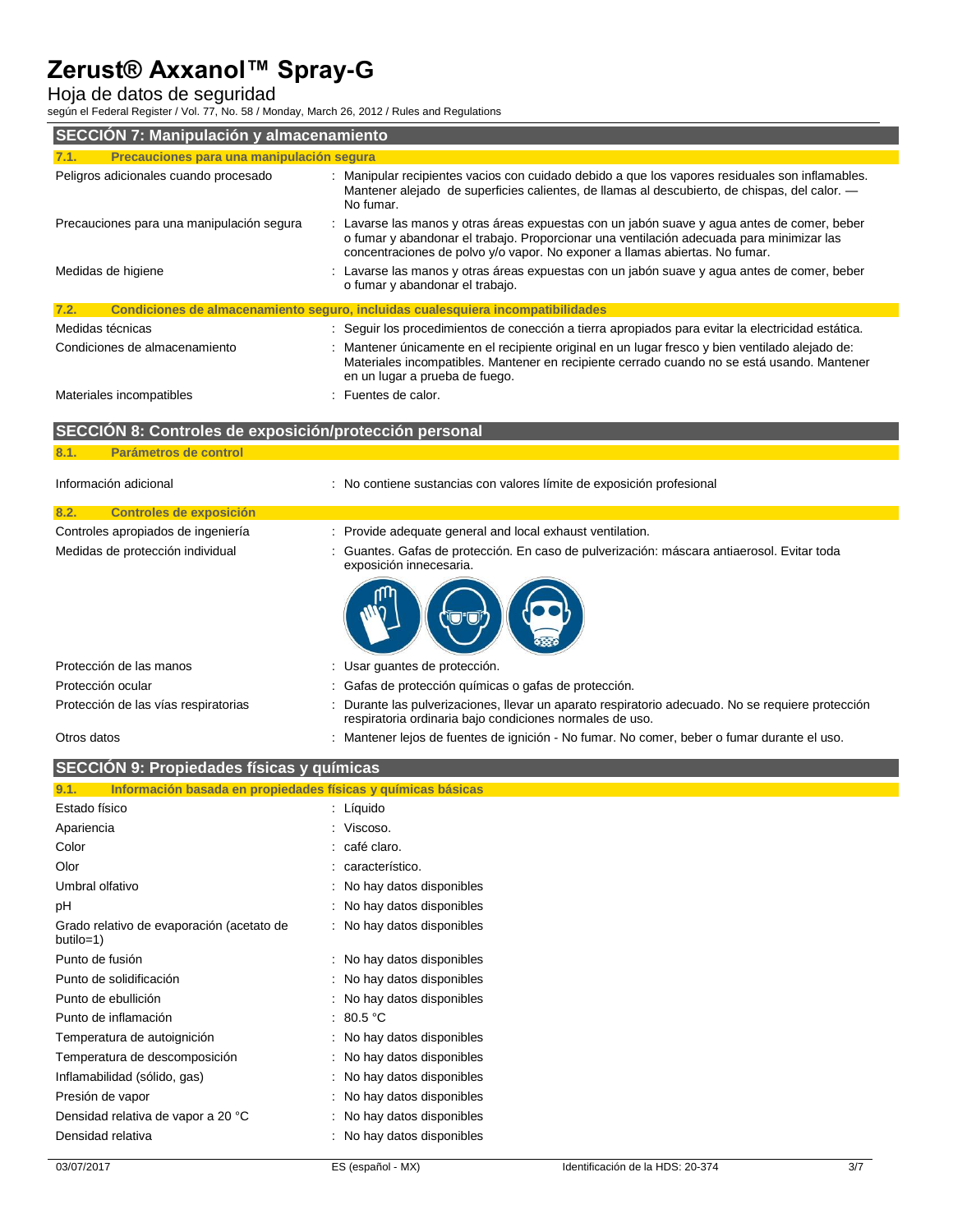### Hoja de datos de seguridad

según el Federal Register / Vol. 77, No. 58 / Monday, March 26, 2012 / Rules and Regulations

| SECCIÓN 7: Manipulación y almacenamiento               |                                                                                                                                                                                                                                                                        |  |  |
|--------------------------------------------------------|------------------------------------------------------------------------------------------------------------------------------------------------------------------------------------------------------------------------------------------------------------------------|--|--|
| Precauciones para una manipulación segura<br>7.1.      |                                                                                                                                                                                                                                                                        |  |  |
| Peligros adicionales cuando procesado                  | : Manipular recipientes vacios con cuidado debido a que los vapores residuales son inflamables.<br>Mantener alejado de superficies calientes, de llamas al descubierto, de chispas, del calor. —<br>No fumar.                                                          |  |  |
| Precauciones para una manipulación segura              | : Lavarse las manos y otras áreas expuestas con un jabón suave y agua antes de comer, beber<br>o fumar y abandonar el trabajo. Proporcionar una ventilación adecuada para minimizar las<br>concentraciones de polvo y/o vapor. No exponer a llamas abiertas. No fumar. |  |  |
| Medidas de higiene                                     | : Lavarse las manos y otras áreas expuestas con un jabón suave y agua antes de comer, beber<br>o fumar y abandonar el trabajo.                                                                                                                                         |  |  |
| 7.2.                                                   | Condiciones de almacenamiento seguro, incluidas cualesquiera incompatibilidades                                                                                                                                                                                        |  |  |
| Medidas técnicas                                       | : Seguir los procedimientos de conección a tierra apropiados para evitar la electricidad estática.                                                                                                                                                                     |  |  |
| Condiciones de almacenamiento                          | : Mantener únicamente en el recipiente original en un lugar fresco y bien ventilado alejado de:<br>Materiales incompatibles. Mantener en recipiente cerrado cuando no se está usando. Mantener<br>en un lugar a prueba de fuego.                                       |  |  |
| Materiales incompatibles                               | : Fuentes de calor.                                                                                                                                                                                                                                                    |  |  |
| SECCIÓN 8: Controles de exposición/protección personal |                                                                                                                                                                                                                                                                        |  |  |
| Parámetros de control<br>8.1.                          |                                                                                                                                                                                                                                                                        |  |  |
| Información adicional                                  | : No contiene sustancias con valores límite de exposición profesional                                                                                                                                                                                                  |  |  |
| 8.2.<br><b>Controles de exposición</b>                 |                                                                                                                                                                                                                                                                        |  |  |

|  | Medidas de protección individual |  |
|--|----------------------------------|--|
|  |                                  |  |

Controles apropiados de ingeniería indicato extinta

| Controles apropiados de ingeniería | Provide adequate general and local exhaust ventilation.                                                             |
|------------------------------------|---------------------------------------------------------------------------------------------------------------------|
| Medidas de protección individual   | Guantes. Gafas de protección. En caso de pulverización: máscara antiaerosol. Evitar toda<br>exposición innecesaria. |
|                                    |                                                                                                                     |



| Protección de las manos              | : Usar quantes de protección.                                                                                                                                 |
|--------------------------------------|---------------------------------------------------------------------------------------------------------------------------------------------------------------|
| Protección ocular                    | : Gafas de protección químicas o gafas de protección.                                                                                                         |
| Protección de las vías respiratorias | : Durante las pulverizaciones, llevar un aparato respiratorio adecuado. No se requiere protección<br>respiratoria ordinaria bajo condiciones normales de uso. |
| Otros datos                          | Mantener lejos de fuentes de ignición - No fumar. No comer, beber o fumar durante el uso.                                                                     |

| SECCIÓN 9: Propiedades físicas y químicas                            |                            |  |  |
|----------------------------------------------------------------------|----------------------------|--|--|
| Información basada en propiedades físicas y químicas básicas<br>9.1. |                            |  |  |
| Estado físico                                                        | : Líquido                  |  |  |
| Apariencia                                                           | : Viscoso.                 |  |  |
| Color                                                                | : café claro.              |  |  |
| Olor                                                                 | : característico.          |  |  |
| Umbral olfativo                                                      | : No hay datos disponibles |  |  |
| pH                                                                   | No hay datos disponibles   |  |  |
| Grado relativo de evaporación (acetato de<br>butilo=1)               | : No hay datos disponibles |  |  |
| Punto de fusión                                                      | : No hay datos disponibles |  |  |
| Punto de solidificación                                              | No hay datos disponibles   |  |  |
| Punto de ebullición                                                  | No hay datos disponibles   |  |  |
| Punto de inflamación                                                 | : 80.5 °C                  |  |  |
| Temperatura de autoignición                                          | No hay datos disponibles   |  |  |
| Temperatura de descomposición                                        | : No hay datos disponibles |  |  |
| Inflamabilidad (sólido, gas)                                         | No hay datos disponibles   |  |  |
| Presión de vapor                                                     | : No hay datos disponibles |  |  |
| Densidad relativa de vapor a 20 °C                                   | : No hay datos disponibles |  |  |
| Densidad relativa                                                    | No hay datos disponibles   |  |  |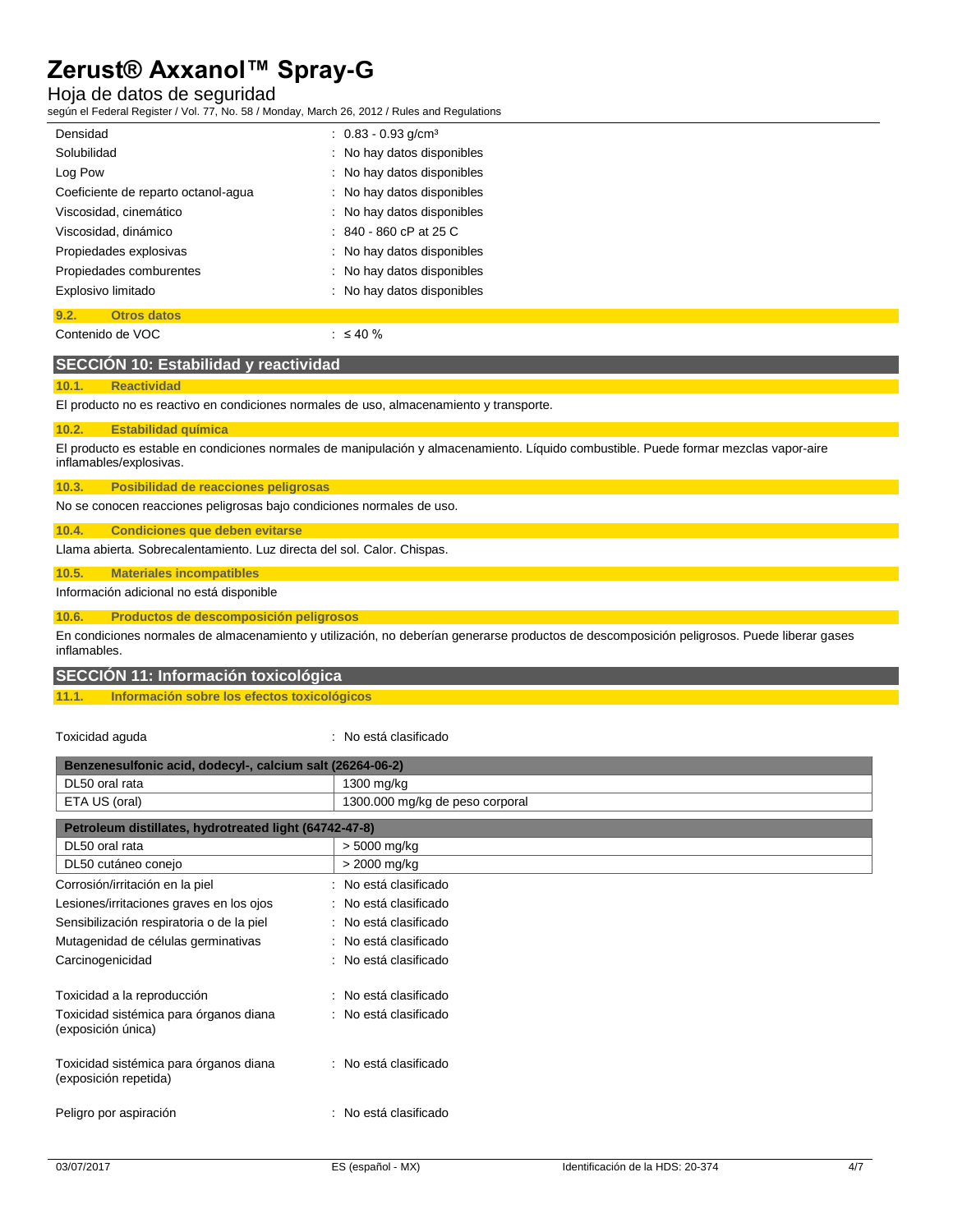### Hoja de datos de seguridad

según el Federal Register / Vol. 77, No. 58 / Monday, March 26, 2012 / Rules and Regulations

| Densidad                            | $: 0.83 - 0.93$ g/cm <sup>3</sup> |  |
|-------------------------------------|-----------------------------------|--|
| Solubilidad                         | No hay datos disponibles          |  |
| Log Pow                             | : No hay datos disponibles        |  |
| Coeficiente de reparto octanol-agua | No hay datos disponibles          |  |
| Viscosidad, cinemático              | : No hay datos disponibles        |  |
| Viscosidad, dinámico                | $: 840 - 860$ cP at 25 C          |  |
| Propiedades explosivas              | : No hay datos disponibles        |  |
| Propiedades comburentes             | : No hay datos disponibles        |  |
| Explosivo limitado                  | : No hay datos disponibles        |  |
| 9.2.<br><b>Otros datos</b>          |                                   |  |
| Contenido de VOC                    | $\therefore$ $\leq$ 40 %          |  |

#### **SECCIÓN 10: Estabilidad y reactividad**

#### **10.1. Reactividad**

El producto no es reactivo en condiciones normales de uso, almacenamiento y transporte.

#### **10.2. Estabilidad química**

El producto es estable en condiciones normales de manipulación y almacenamiento. Líquido combustible. Puede formar mezclas vapor-aire inflamables/explosivas.

**10.3. Posibilidad de reacciones peligrosas**

No se conocen reacciones peligrosas bajo condiciones normales de uso.

#### **10.4. Condiciones que deben evitarse**

Llama abierta. Sobrecalentamiento. Luz directa del sol. Calor. Chispas.

#### **10.5. Materiales incompatibles**

#### Información adicional no está disponible

#### **10.6. Productos de descomposición peligrosos**

En condiciones normales de almacenamiento y utilización, no deberían generarse productos de descomposición peligrosos. Puede liberar gases inflamables.

#### **SECCIÓN 11: Información toxicológica**

#### **11.1. Información sobre los efectos toxicológicos**

#### Toxicidad aguda : No está clasificado

| Benzenesulfonic acid, dodecyl-, calcium salt (26264-06-2)       |                                 |  |
|-----------------------------------------------------------------|---------------------------------|--|
| DL50 oral rata                                                  | 1300 mg/kg                      |  |
| ETA US (oral)                                                   | 1300.000 mg/kg de peso corporal |  |
| Petroleum distillates, hydrotreated light (64742-47-8)          |                                 |  |
| DL50 oral rata                                                  | > 5000 mg/kg                    |  |
| DL50 cutáneo conejo                                             | > 2000 mg/kg                    |  |
| Corrosión/irritación en la piel                                 | No está clasificado             |  |
| Lesiones/irritaciones graves en los ojos                        | : No está clasificado           |  |
| Sensibilización respiratoria o de la piel                       | : No está clasificado           |  |
| Mutagenidad de células germinativas                             | : No está clasificado           |  |
| Carcinogenicidad                                                | : No está clasificado           |  |
| Toxicidad a la reproducción                                     | : No está clasificado           |  |
| Toxicidad sistémica para órganos diana<br>(exposición única)    | : No está clasificado           |  |
| Toxicidad sistémica para órganos diana<br>(exposición repetida) | : No está clasificado           |  |
| Peligro por aspiración                                          | : No está clasificado           |  |
|                                                                 |                                 |  |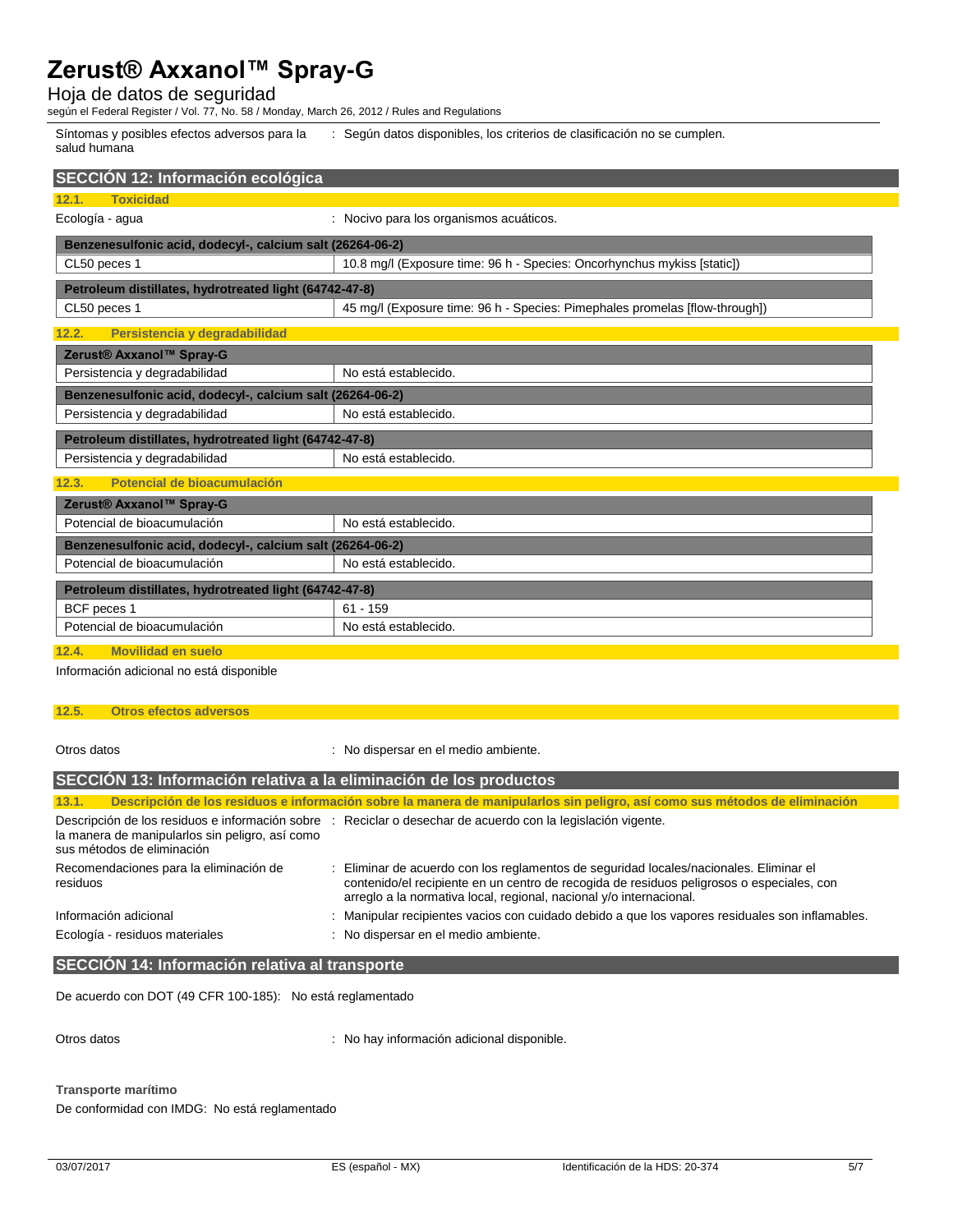Hoja de datos de seguridad

según el Federal Register / Vol. 77, No. 58 / Monday, March 26, 2012 / Rules and Regulations

Síntomas y posibles efectos adversos para la salud humana : Según datos disponibles, los criterios de clasificación no se cumplen.

| SECCIÓN 12: Información ecológica                         |                                                                             |  |
|-----------------------------------------------------------|-----------------------------------------------------------------------------|--|
| <b>Toxicidad</b><br>12.1.                                 |                                                                             |  |
| Ecología - agua                                           | : Nocivo para los organismos acuáticos.                                     |  |
| Benzenesulfonic acid, dodecyl-, calcium salt (26264-06-2) |                                                                             |  |
| CL50 peces 1                                              | 10.8 mg/l (Exposure time: 96 h - Species: Oncorhynchus mykiss [static])     |  |
| Petroleum distillates, hydrotreated light (64742-47-8)    |                                                                             |  |
| CL50 peces 1                                              | 45 mg/l (Exposure time: 96 h - Species: Pimephales promelas [flow-through]) |  |
| Persistencia y degradabilidad<br>12.2.                    |                                                                             |  |
| Zerust® Axxanol™ Spray-G                                  |                                                                             |  |
| Persistencia y degradabilidad                             | No está establecido.                                                        |  |
| Benzenesulfonic acid, dodecyl-, calcium salt (26264-06-2) |                                                                             |  |
| Persistencia y degradabilidad                             | No está establecido.                                                        |  |
| Petroleum distillates, hydrotreated light (64742-47-8)    |                                                                             |  |
| Persistencia y degradabilidad                             | No está establecido.                                                        |  |
| Potencial de bioacumulación<br>12.3.                      |                                                                             |  |
| Zerust® Axxanol™ Spray-G                                  |                                                                             |  |
| Potencial de bioacumulación                               | No está establecido.                                                        |  |
| Benzenesulfonic acid, dodecyl-, calcium salt (26264-06-2) |                                                                             |  |
| Potencial de bioacumulación<br>No está establecido.       |                                                                             |  |
| Petroleum distillates, hydrotreated light (64742-47-8)    |                                                                             |  |
| BCF peces 1                                               | $61 - 159$                                                                  |  |
| Potencial de bioacumulación                               | No está establecido.                                                        |  |

#### **12.4. Movilidad en suelo**

Información adicional no está disponible

#### **12.5. Otros efectos adversos**

Otros datos : No dispersar en el medio ambiente.

| SECCION 13: Información relativa a la eliminación de los productos            |                                                                                                                                                                                                                                                            |  |
|-------------------------------------------------------------------------------|------------------------------------------------------------------------------------------------------------------------------------------------------------------------------------------------------------------------------------------------------------|--|
| 13.1.                                                                         | Descripción de los residuos e información sobre la manera de manipularlos sin peligro, así como sus métodos de eliminación                                                                                                                                 |  |
| la manera de manipularlos sin peligro, así como<br>sus métodos de eliminación | Descripción de los residuos e información sobre : Reciclar o desechar de acuerdo con la legislación vigente.                                                                                                                                               |  |
| Recomendaciones para la eliminación de<br>residuos                            | : Eliminar de acuerdo con los reglamentos de seguridad locales/nacionales. Eliminar el<br>contenido/el recipiente en un centro de recogida de residuos peligrosos o especiales, con<br>arregio a la normativa local, regional, nacional y/o internacional. |  |
| Información adicional                                                         | : Manipular recipientes vacios con cuidado debido a que los vapores residuales son inflamables.                                                                                                                                                            |  |
| Ecología - residuos materiales                                                | : No dispersar en el medio ambiente.                                                                                                                                                                                                                       |  |
|                                                                               |                                                                                                                                                                                                                                                            |  |

#### **SECCIÓN 14: Información relativa al transporte**

De acuerdo con DOT (49 CFR 100-185): No está reglamentado

Otros datos **interval anticipate in the Contract Contract Contract Contract Contract Contract Contract Contract Contract Contract Contract Contract Contract Contract Contract Contract Contract Contract Contract Contract Co** 

**Transporte marítimo**

De conformidad con IMDG: No está reglamentado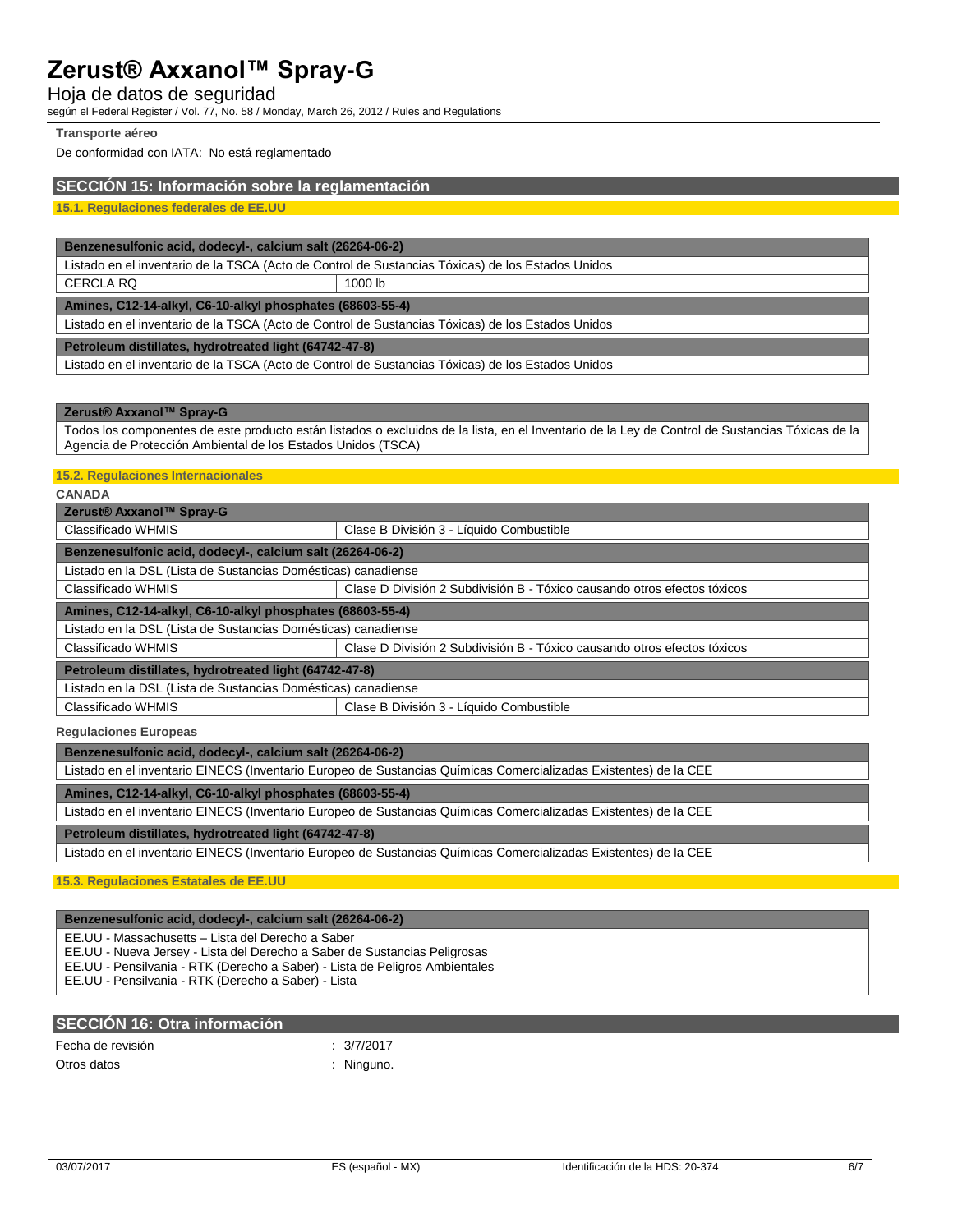### Hoja de datos de seguridad

según el Federal Register / Vol. 77, No. 58 / Monday, March 26, 2012 / Rules and Regulations

#### **Transporte aéreo**

De conformidad con IATA: No está reglamentado

#### **SECCIÓN 15: Información sobre la reglamentación**

**15.1. Regulaciones federales de EE.UU**

#### **Benzenesulfonic acid, dodecyl-, calcium salt (26264-06-2)**

Listado en el inventario de la TSCA (Acto de Control de Sustancias Tóxicas) de los Estados Unidos

CERCLA RQ 1000 lb

**Amines, C12-14-alkyl, C6-10-alkyl phosphates (68603-55-4)**

Listado en el inventario de la TSCA (Acto de Control de Sustancias Tóxicas) de los Estados Unidos

**Petroleum distillates, hydrotreated light (64742-47-8)**

Listado en el inventario de la TSCA (Acto de Control de Sustancias Tóxicas) de los Estados Unidos

#### **Zerust® Axxanol™ Spray-G**

Todos los componentes de este producto están listados o excluidos de la lista, en el Inventario de la Ley de Control de Sustancias Tóxicas de la Agencia de Protección Ambiental de los Estados Unidos (TSCA)

#### **15.2. Regulaciones Internacionales**

#### **CANADA**

| Zerust® Axxanol™ Spray-G                                      |                                                                          |  |
|---------------------------------------------------------------|--------------------------------------------------------------------------|--|
| Classificado WHMIS                                            | Clase B División 3 - Líquido Combustible                                 |  |
| Benzenesulfonic acid, dodecyl-, calcium salt (26264-06-2)     |                                                                          |  |
| Listado en la DSL (Lista de Sustancias Domésticas) canadiense |                                                                          |  |
| Classificado WHMIS                                            | Clase D División 2 Subdivisión B - Tóxico causando otros efectos tóxicos |  |
| Amines, C12-14-alkyl, C6-10-alkyl phosphates (68603-55-4)     |                                                                          |  |
| Listado en la DSL (Lista de Sustancias Domésticas) canadiense |                                                                          |  |
| Classificado WHMIS                                            | Clase D División 2 Subdivisión B - Tóxico causando otros efectos tóxicos |  |
| Petroleum distillates, hydrotreated light (64742-47-8)        |                                                                          |  |
| Listado en la DSL (Lista de Sustancias Domésticas) canadiense |                                                                          |  |
| Classificado WHMIS                                            | Clase B División 3 - Líquido Combustible                                 |  |
|                                                               |                                                                          |  |

#### **Regulaciones Europeas**

**Benzenesulfonic acid, dodecyl-, calcium salt (26264-06-2)**

Listado en el inventario EINECS (Inventario Europeo de Sustancias Químicas Comercializadas Existentes) de la CEE

#### **Amines, C12-14-alkyl, C6-10-alkyl phosphates (68603-55-4)**

Listado en el inventario EINECS (Inventario Europeo de Sustancias Químicas Comercializadas Existentes) de la CEE

#### **Petroleum distillates, hydrotreated light (64742-47-8)**

Listado en el inventario EINECS (Inventario Europeo de Sustancias Químicas Comercializadas Existentes) de la CEE

**15.3. Regulaciones Estatales de EE.UU**

#### **Benzenesulfonic acid, dodecyl-, calcium salt (26264-06-2)**

EE.UU - Massachusetts – Lista del Derecho a Saber

EE.UU - Nueva Jersey - Lista del Derecho a Saber de Sustancias Peligrosas

EE.UU - Pensilvania - RTK (Derecho a Saber) - Lista de Peligros Ambientales

EE.UU - Pensilvania - RTK (Derecho a Saber) - Lista

### **SECCIÓN 16: Otra información**

| Fecha de revisión |  |
|-------------------|--|
| Otros datos       |  |

 $: 3/7/2017$ 

: Ninguno.